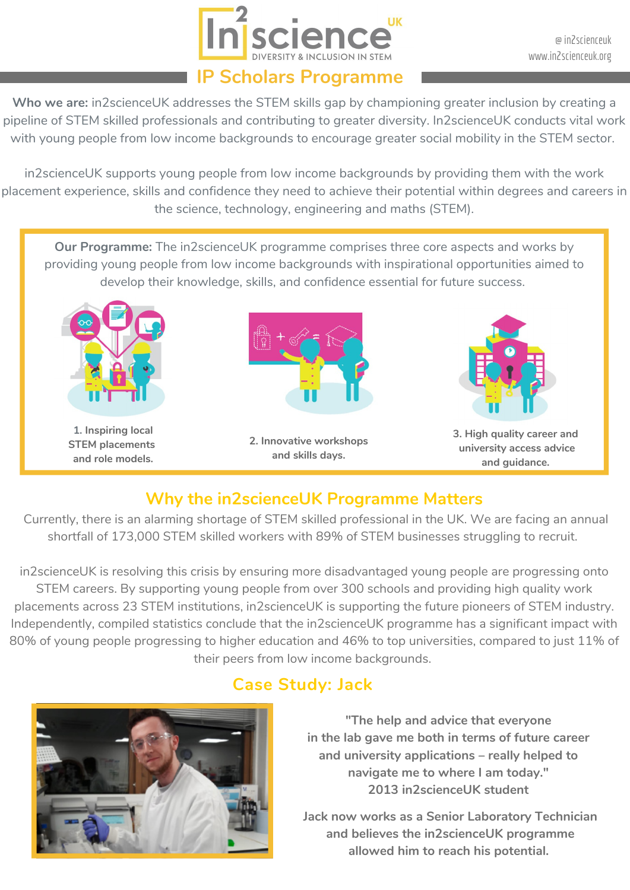

@ in2scienceuk www.in2scienceuk.org

#### **IP Scholars Programme**

**Who we are:** in2scienceUK addresses the STEM skills gap by championing greater inclusion by creating a pipeline of STEM skilled professionals and contributing to greater diversity. In2scienceUK conducts vital work with young people from low income backgrounds to encourage greater social mobility in the STEM sector.

in2scienceUK supports young people from low income backgrounds by providing them with the work placement experience, skills and confidence they need to achieve their potential within degrees and careers in the science, technology, engineering and maths (STEM).

**Our Programme:** The in2scienceUK programme comprises three core aspects and works by providing young people from low income backgrounds with inspirational opportunities aimed to develop their knowledge, skills, and confidence essential for future success.



# **Why the in2scienceUK Programme Matters**

Currently, there is an alarming shortage of STEM skilled professional in the UK. We are facing an annual shortfall of 173,000 STEM skilled workers with 89% of STEM businesses struggling to recruit.

in2scienceUK is resolving this crisis by ensuring more disadvantaged young people are progressing onto STEM careers. By supporting young people from over 300 schools and providing high quality work placements across 23 STEM institutions, in2scienceUK is supporting the future pioneers of STEM industry. Independently, compiled statistics conclude that the in2scienceUK programme has a significant impact with 80% of young people progressing to higher education and 46% to top universities, compared to just 11% of their peers from low income backgrounds.



# **Case Study: Jack**

**"The help and advice that everyone in the lab gave me both in terms of future career and university applications – really helped to navigate me to where I am today." 2013 in2scienceUK student**

**Jack now works as a Senior Laboratory Technician and believes the in2scienceUK programme allowed him to reach his potential.**